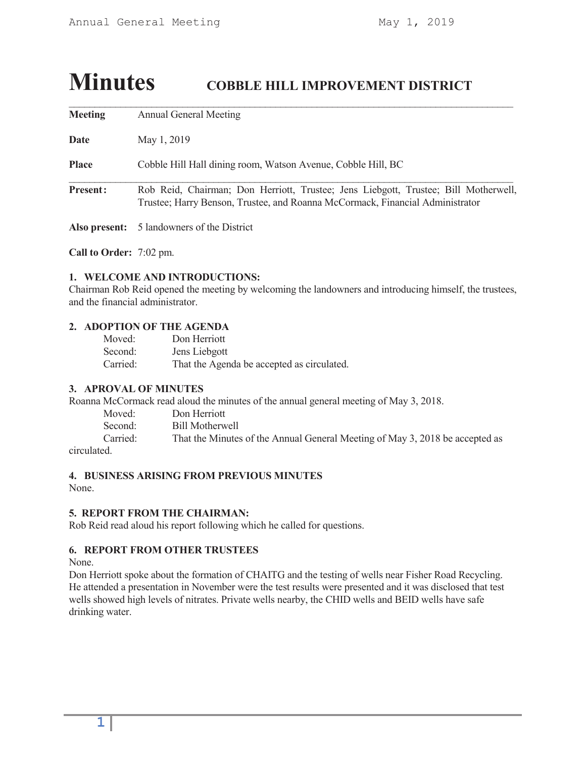# **Minutes COBBLE HILL IMPROVEMENT DISTRICT**

**Meeting** Annual General Meeting

**Date** May 1, 2019

**Place** Cobble Hill Hall dining room, Watson Avenue, Cobble Hill, BC

Present: Rob Reid, Chairman; Don Herriott, Trustee; Jens Liebgott, Trustee; Bill Motherwell, Trustee; Harry Benson, Trustee, and Roanna McCormack, Financial Administrator

\_\_\_\_\_\_\_\_\_\_\_\_\_\_\_\_\_\_\_\_\_\_\_\_\_\_\_\_\_\_\_\_\_\_\_\_\_\_\_\_\_\_\_\_\_\_\_\_\_\_\_\_\_\_\_\_\_\_\_\_\_\_\_\_\_\_\_\_\_\_\_\_\_\_\_\_\_\_\_\_\_\_\_\_\_\_

\_\_\_\_\_\_\_\_\_\_\_\_\_\_\_\_\_\_\_\_\_\_\_\_\_\_\_\_\_\_\_\_\_\_\_\_\_\_\_\_\_\_\_\_\_\_\_\_\_\_\_\_\_\_\_\_\_\_\_\_\_\_\_\_\_\_\_\_\_\_\_\_\_\_\_\_\_\_\_\_\_\_\_\_\_\_

**Also present:** 5 landowners of the District

**Call to Order:** 7:02 pm.

## **1. WELCOME AND INTRODUCTIONS:**

Chairman Rob Reid opened the meeting by welcoming the landowners and introducing himself, the trustees, and the financial administrator.

## **2. ADOPTION OF THE AGENDA**

| Moved:   | Don Herriott                               |
|----------|--------------------------------------------|
| Second:  | Jens Liebgott                              |
| Carried: | That the Agenda be accepted as circulated. |

## **3. APROVAL OF MINUTES**

Roanna McCormack read aloud the minutes of the annual general meeting of May 3, 2018.

| Moved:   | Don Herriott                                                                 |
|----------|------------------------------------------------------------------------------|
| Second:  | Bill Motherwell                                                              |
| Carried: | That the Minutes of the Annual General Meeting of May 3, 2018 be accepted as |
|          |                                                                              |

circulated.

## **4. BUSINESS ARISING FROM PREVIOUS MINUTES**

None.

## **5. REPORT FROM THE CHAIRMAN:**

Rob Reid read aloud his report following which he called for questions.

## **6. REPORT FROM OTHER TRUSTEES**

None.

Don Herriott spoke about the formation of CHAITG and the testing of wells near Fisher Road Recycling. He attended a presentation in November were the test results were presented and it was disclosed that test wells showed high levels of nitrates. Private wells nearby, the CHID wells and BEID wells have safe drinking water.